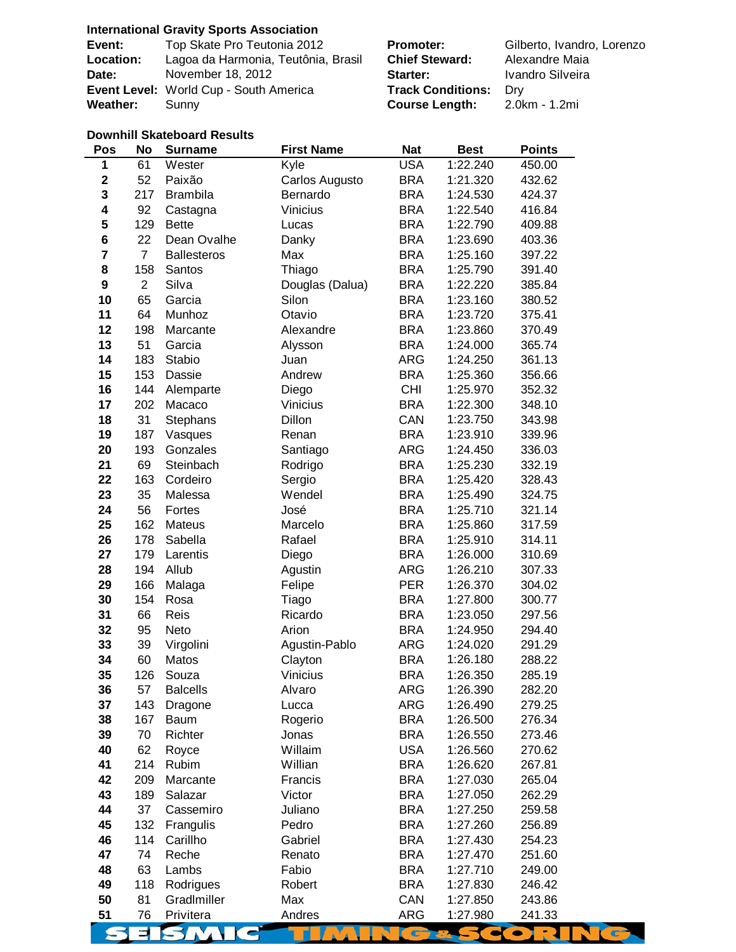### **International Gravity Sports Association**

| Event:           | Top Skate Pro Teutonia 2012            |
|------------------|----------------------------------------|
| <b>Location:</b> | Lagoa da Harmonia, Teutônia, Brasil    |
| Date:            | November 18, 2012                      |
|                  | Event Level: World Cup - South America |
| Weather:         | Sunnv                                  |

**Promoter:** Gilberto, Ivandro, Lorenzo **Chief Steward:** Alexandre Maia Starter: **Ivandro Silveira Frack Conditions:** Dry **Course Length: 2.0km - 1.2mi** 

#### **Downhill Skateboard Results**

| Pos         | No             | <b>Surname</b>     | <b>First Name</b> | <b>Nat</b> | <b>Best</b> | <b>Points</b> |
|-------------|----------------|--------------------|-------------------|------------|-------------|---------------|
| $\mathbf 1$ | 61             | Wester             | Kyle              | <b>USA</b> | 1:22.240    | 450.00        |
| $\mathbf 2$ | 52             | Paixão             | Carlos Augusto    | <b>BRA</b> | 1:21.320    | 432.62        |
| 3           | 217            | <b>Brambila</b>    | Bernardo          | <b>BRA</b> | 1:24.530    | 424.37        |
| 4           | 92             | Castagna           | Vinicius          | <b>BRA</b> | 1:22.540    | 416.84        |
| 5           | 129            | <b>Bette</b>       | Lucas             | <b>BRA</b> | 1:22.790    | 409.88        |
| 6           | 22             | Dean Ovalhe        | Danky             | <b>BRA</b> | 1:23.690    | 403.36        |
| 7           | $\overline{7}$ | <b>Ballesteros</b> | Max               | <b>BRA</b> | 1:25.160    | 397.22        |
| 8           | 158            | Santos             | Thiago            | <b>BRA</b> | 1:25.790    | 391.40        |
| 9           | $\overline{c}$ | Silva              | Douglas (Dalua)   | <b>BRA</b> | 1:22.220    | 385.84        |
| 10          | 65             | Garcia             | Silon             | <b>BRA</b> | 1:23.160    | 380.52        |
| 11          | 64             | Munhoz             | Otavio            | <b>BRA</b> | 1:23.720    | 375.41        |
| 12          | 198            | Marcante           | Alexandre         | <b>BRA</b> | 1:23.860    | 370.49        |
| 13          | 51             | Garcia             | Alysson           | <b>BRA</b> | 1:24.000    | 365.74        |
| 14          | 183            | Stabio             | Juan              | <b>ARG</b> | 1:24.250    | 361.13        |
| 15          | 153            | Dassie             | Andrew            | <b>BRA</b> | 1:25.360    | 356.66        |
| 16          | 144            | Alemparte          | Diego             | <b>CHI</b> | 1:25.970    | 352.32        |
| 17          | 202            | Macaco             | Vinicius          | <b>BRA</b> | 1:22.300    | 348.10        |
| 18          | 31             | Stephans           | Dillon            | CAN        | 1:23.750    | 343.98        |
| 19          | 187            | Vasques            | Renan             | <b>BRA</b> | 1:23.910    | 339.96        |
| 20          | 193            | Gonzales           | Santiago          | ARG        | 1:24.450    | 336.03        |
| 21          | 69             | Steinbach          | Rodrigo           | <b>BRA</b> | 1:25.230    | 332.19        |
| 22          | 163            | Cordeiro           | Sergio            | <b>BRA</b> | 1:25.420    | 328.43        |
| 23          | 35             | Malessa            | Wendel            | <b>BRA</b> | 1:25.490    | 324.75        |
| 24          | 56             | Fortes             | José              | <b>BRA</b> | 1:25.710    | 321.14        |
| 25          | 162            | Mateus             | Marcelo           | <b>BRA</b> | 1:25.860    | 317.59        |
| 26          | 178            | Sabella            | Rafael            | <b>BRA</b> | 1:25.910    | 314.11        |
| 27          | 179            | Larentis           | Diego             | <b>BRA</b> | 1:26.000    | 310.69        |
| 28          | 194            | Allub              | Agustin           | <b>ARG</b> | 1:26.210    | 307.33        |
| 29          | 166            | Malaga             | Felipe            | <b>PER</b> | 1:26.370    | 304.02        |
| 30          | 154            | Rosa               | Tiago             | <b>BRA</b> | 1:27.800    | 300.77        |
| 31          | 66             | Reis               | Ricardo           | <b>BRA</b> | 1:23.050    | 297.56        |
| 32          | 95             | Neto               | Arion             | <b>BRA</b> | 1:24.950    | 294.40        |
| 33          | 39             | Virgolini          | Agustin-Pablo     | <b>ARG</b> | 1:24.020    | 291.29        |
| 34          | 60             | Matos              | Clayton           | <b>BRA</b> | 1:26.180    | 288.22        |
| 35          | 126            | Souza              | Vinicius          | <b>BRA</b> | 1:26.350    | 285.19        |
| 36          | 57             | <b>Balcells</b>    | Alvaro            | <b>ARG</b> | 1:26.390    | 282.20        |
| 37          | 143            | Dragone            | Lucca             | <b>ARG</b> | 1:26.490    | 279.25        |
| 38          | 167            | Baum               | Rogerio           | <b>BRA</b> | 1:26.500    | 276.34        |
| 39          | 70             | Richter            | Jonas             | <b>BRA</b> | 1:26.550    | 273.46        |
| 40          | 62             | Royce              | Willaim           | <b>USA</b> | 1:26.560    | 270.62        |
| 41          | 214            | Rubim              | Willian           | <b>BRA</b> | 1:26.620    | 267.81        |
| 42          | 209            | Marcante           | Francis           | <b>BRA</b> | 1:27.030    | 265.04        |
| 43          | 189            | Salazar            | Victor            | <b>BRA</b> | 1:27.050    | 262.29        |
| 44          | 37             | Cassemiro          | Juliano           | <b>BRA</b> | 1:27.250    | 259.58        |
| 45          | 132            | Frangulis          | Pedro             | <b>BRA</b> | 1:27.260    | 256.89        |
| 46          | 114            | Carillho           | Gabriel           | <b>BRA</b> | 1:27.430    | 254.23        |
| 47          | 74             | Reche              | Renato            | <b>BRA</b> | 1:27.470    | 251.60        |
| 48          | 63             | Lambs              | Fabio             | <b>BRA</b> | 1:27.710    | 249.00        |
| 49          | 118            | Rodrigues          | Robert            | <b>BRA</b> | 1:27.830    | 246.42        |
| 50          | 81             | GradImiller        | Max               | CAN        | 1:27.850    | 243.86        |
| 51          | 76             | Privitera          | Andres            | <b>ARG</b> | 1:27.980    | 241.33        |
|             |                | 3 M                |                   | Œ          |             |               |
|             |                |                    |                   |            |             |               |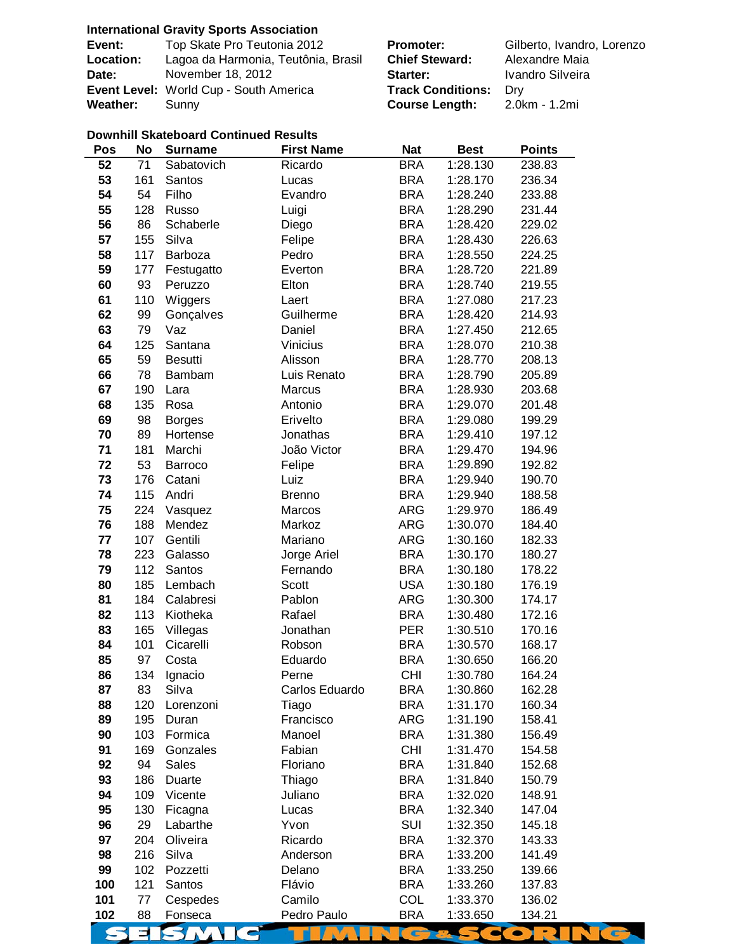## **International Gravity Sports Association**

| Event:          | Top Skate Pro Teutonia 2012            | <b>Promoter:</b>             | Gilberto, Ivandro, Lorenzo |
|-----------------|----------------------------------------|------------------------------|----------------------------|
| Location:       | Lagoa da Harmonia, Teutônia, Brasil    | <b>Chief Steward:</b>        | Alexandre Maia             |
| Date:           | November 18, 2012                      | Starter:                     | Ivandro Silveira           |
|                 | Event Level: World Cup - South America | <b>Track Conditions:</b> Dry |                            |
| <b>Weather:</b> | Sunny                                  | <b>Course Length:</b>        | 2.0km - 1.2mi              |

## **Downhill Skateboard Continued Results**

| Pos | No  | <b>Surname</b> | <b>First Name</b> | <b>Nat</b> | <b>Best</b> | <b>Points</b>    |
|-----|-----|----------------|-------------------|------------|-------------|------------------|
| 52  | 71  | Sabatovich     | Ricardo           | <b>BRA</b> | 1:28.130    | 238.83           |
| 53  | 161 | Santos         | Lucas             | <b>BRA</b> | 1:28.170    | 236.34           |
| 54  | 54  | Filho          | Evandro           | <b>BRA</b> | 1:28.240    | 233.88           |
| 55  | 128 | Russo          | Luigi             | <b>BRA</b> | 1:28.290    | 231.44           |
| 56  | 86  | Schaberle      | Diego             | <b>BRA</b> | 1:28.420    | 229.02           |
| 57  | 155 | Silva          | Felipe            | <b>BRA</b> | 1:28.430    | 226.63           |
| 58  | 117 | Barboza        | Pedro             | <b>BRA</b> | 1:28.550    | 224.25           |
| 59  | 177 | Festugatto     | Everton           | <b>BRA</b> | 1:28.720    | 221.89           |
| 60  | 93  | Peruzzo        | Elton             | <b>BRA</b> | 1:28.740    | 219.55           |
| 61  | 110 | Wiggers        | Laert             | <b>BRA</b> | 1:27.080    | 217.23           |
| 62  | 99  | Gonçalves      | Guilherme         | <b>BRA</b> | 1:28.420    | 214.93           |
| 63  | 79  | Vaz            | Daniel            | <b>BRA</b> | 1:27.450    | 212.65           |
| 64  | 125 | Santana        | Vinicius          | <b>BRA</b> | 1:28.070    | 210.38           |
| 65  | 59  | <b>Besutti</b> | Alisson           | <b>BRA</b> | 1:28.770    | 208.13           |
| 66  | 78  | Bambam         | Luis Renato       | <b>BRA</b> | 1:28.790    | 205.89           |
| 67  | 190 | Lara           | Marcus            | <b>BRA</b> | 1:28.930    | 203.68           |
| 68  | 135 | Rosa           | Antonio           | <b>BRA</b> | 1:29.070    | 201.48           |
| 69  | 98  |                | Erivelto          | <b>BRA</b> |             |                  |
|     |     | <b>Borges</b>  |                   |            | 1:29.080    | 199.29<br>197.12 |
| 70  | 89  | Hortense       | Jonathas          | <b>BRA</b> | 1:29.410    |                  |
| 71  | 181 | Marchi         | João Victor       | <b>BRA</b> | 1:29.470    | 194.96           |
| 72  | 53  | Barroco        | Felipe            | <b>BRA</b> | 1:29.890    | 192.82           |
| 73  | 176 | Catani         | Luiz              | <b>BRA</b> | 1:29.940    | 190.70           |
| 74  | 115 | Andri          | <b>Brenno</b>     | <b>BRA</b> | 1:29.940    | 188.58           |
| 75  | 224 | Vasquez        | Marcos            | <b>ARG</b> | 1:29.970    | 186.49           |
| 76  | 188 | Mendez         | Markoz            | <b>ARG</b> | 1:30.070    | 184.40           |
| 77  | 107 | Gentili        | Mariano           | ARG        | 1:30.160    | 182.33           |
| 78  | 223 | Galasso        | Jorge Ariel       | <b>BRA</b> | 1:30.170    | 180.27           |
| 79  | 112 | Santos         | Fernando          | <b>BRA</b> | 1:30.180    | 178.22           |
| 80  | 185 | Lembach        | Scott             | <b>USA</b> | 1:30.180    | 176.19           |
| 81  | 184 | Calabresi      | Pablon            | <b>ARG</b> | 1:30.300    | 174.17           |
| 82  | 113 | Kiotheka       | Rafael            | <b>BRA</b> | 1:30.480    | 172.16           |
| 83  | 165 | Villegas       | Jonathan          | <b>PER</b> | 1:30.510    | 170.16           |
| 84  | 101 | Cicarelli      | Robson            | <b>BRA</b> | 1:30.570    | 168.17           |
| 85  | 97  | Costa          | Eduardo           | <b>BRA</b> | 1:30.650    | 166.20           |
| 86  | 134 | Ignacio        | Perne             | <b>CHI</b> | 1:30.780    | 164.24           |
| 87  | 83  | Silva          | Carlos Eduardo    | <b>BRA</b> | 1:30.860    | 162.28           |
| 88  | 120 | Lorenzoni      | Tiago             | <b>BRA</b> | 1:31.170    | 160.34           |
| 89  | 195 | Duran          | Francisco         | <b>ARG</b> | 1:31.190    | 158.41           |
| 90  | 103 | Formica        | Manoel            | <b>BRA</b> | 1:31.380    | 156.49           |
| 91  | 169 | Gonzales       | Fabian            | <b>CHI</b> | 1:31.470    | 154.58           |
| 92  | 94  | <b>Sales</b>   | Floriano          | <b>BRA</b> | 1:31.840    | 152.68           |
| 93  | 186 | Duarte         | Thiago            | <b>BRA</b> | 1:31.840    | 150.79           |
| 94  | 109 | Vicente        | Juliano           | <b>BRA</b> | 1:32.020    | 148.91           |
| 95  | 130 | Ficagna        | Lucas             | <b>BRA</b> | 1:32.340    | 147.04           |
| 96  | 29  | Labarthe       | Yvon              | SUI        | 1:32.350    | 145.18           |
| 97  | 204 | Oliveira       | Ricardo           | <b>BRA</b> | 1:32.370    | 143.33           |
| 98  | 216 | Silva          | Anderson          | <b>BRA</b> | 1:33.200    | 141.49           |
| 99  | 102 | Pozzetti       | Delano            | <b>BRA</b> | 1:33.250    | 139.66           |
| 100 | 121 | Santos         | Flávio            | <b>BRA</b> | 1:33.260    | 137.83           |
| 101 | 77  | Cespedes       | Camilo            | <b>COL</b> | 1:33.370    | 136.02           |
| 102 | 88  | Fonseca        | Pedro Paulo       | <b>BRA</b> | 1:33.650    | 134.21           |
|     |     |                |                   |            |             |                  |
|     |     |                |                   |            |             |                  |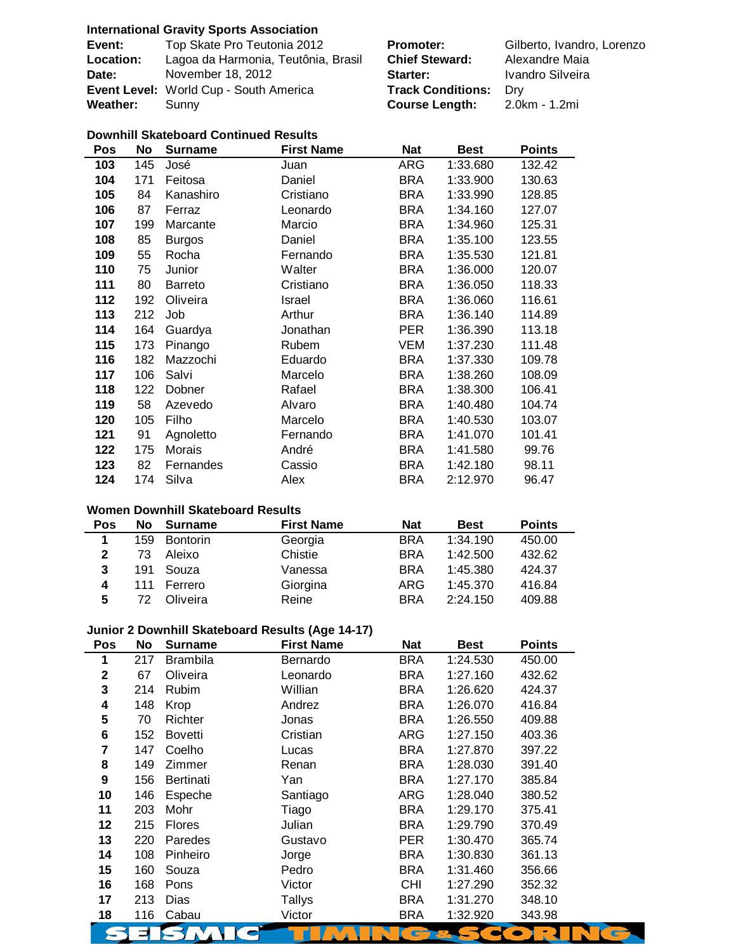## **International Gravity Sports Association**

| Event:           | Top Skate Pro Teutonia 2012            | <b>Promoter:</b>             | Gilberto, Ivandro, Lorenzo |
|------------------|----------------------------------------|------------------------------|----------------------------|
| <b>Location:</b> | Lagoa da Harmonia, Teutônia, Brasil    | <b>Chief Steward:</b>        | Alexandre Maia             |
| Date:            | November 18, 2012                      | Starter:                     | Ivandro Silveira           |
|                  | Event Level: World Cup - South America | <b>Track Conditions: Dry</b> |                            |
| <b>Weather:</b>  | Sunny                                  | <b>Course Length:</b>        | 2.0km - 1.2mi              |

## **Downhill Skateboard Continued Results**

| Pos | <b>No</b> | <b>Surname</b> | <b>First Name</b> | <b>Nat</b> | <b>Best</b> | <b>Points</b> |
|-----|-----------|----------------|-------------------|------------|-------------|---------------|
| 103 | 145       | José           | Juan              | ARG        | 1:33.680    | 132.42        |
| 104 | 171       | Feitosa        | Daniel            | <b>BRA</b> | 1:33.900    | 130.63        |
| 105 | 84        | Kanashiro      | Cristiano         | BRA        | 1:33.990    | 128.85        |
| 106 | 87        | Ferraz         | Leonardo          | BRA        | 1:34.160    | 127.07        |
| 107 | 199       | Marcante       | Marcio            | <b>BRA</b> | 1:34.960    | 125.31        |
| 108 | 85        | <b>Burgos</b>  | Daniel            | <b>BRA</b> | 1:35.100    | 123.55        |
| 109 | 55        | Rocha          | Fernando          | <b>BRA</b> | 1:35.530    | 121.81        |
| 110 | 75        | Junior         | Walter            | <b>BRA</b> | 1:36.000    | 120.07        |
| 111 | 80        | <b>Barreto</b> | Cristiano         | <b>BRA</b> | 1:36.050    | 118.33        |
| 112 | 192       | Oliveira       | Israel            | <b>BRA</b> | 1:36.060    | 116.61        |
| 113 | 212       | Job            | Arthur            | <b>BRA</b> | 1:36.140    | 114.89        |
| 114 | 164       | Guardya        | Jonathan          | <b>PER</b> | 1:36.390    | 113.18        |
| 115 | 173       | Pinango        | Rubem             | VEM        | 1:37.230    | 111.48        |
| 116 | 182       | Mazzochi       | Eduardo           | <b>BRA</b> | 1:37.330    | 109.78        |
| 117 | 106       | Salvi          | Marcelo           | <b>BRA</b> | 1:38.260    | 108.09        |
| 118 | 122       | Dobner         | Rafael            | <b>BRA</b> | 1:38.300    | 106.41        |
| 119 | 58        | Azevedo        | Alvaro            | BRA        | 1:40.480    | 104.74        |
| 120 | 105       | Filho          | Marcelo           | <b>BRA</b> | 1:40.530    | 103.07        |
| 121 | 91        | Agnoletto      | Fernando          | <b>BRA</b> | 1:41.070    | 101.41        |
| 122 | 175       | Morais         | André             | <b>BRA</b> | 1:41.580    | 99.76         |
| 123 | 82        | Fernandes      | Cassio            | BRA        | 1:42.180    | 98.11         |
| 124 | 174       | Silva          | Alex              | <b>BRA</b> | 2:12.970    | 96.47         |

## **Women Downhill Skateboard Results**

| Pos          | <b>No</b> | <b>Surname</b>  | <b>First Name</b> | <b>Nat</b> | <b>Best</b> | <b>Points</b> |
|--------------|-----------|-----------------|-------------------|------------|-------------|---------------|
| 1            | 159       | <b>Bontorin</b> | Georgia           | <b>BRA</b> | 1:34.190    | 450.00        |
| $\mathbf{2}$ | 73        | Aleixo          | Chistie           | <b>BRA</b> | 1:42.500    | 432.62        |
| 3            | 191       | Souza           | Vanessa           | <b>BRA</b> | 1:45.380    | 424.37        |
| 4            | 111       | Ferrero         | Giorgina          | ARG        | 1:45.370    | 416.84        |
| 5            | 72        | Oliveira        | Reine             | <b>BRA</b> | 2:24.150    | 409.88        |

# **Junior 2 Downhill Skateboard Results (Age 14-17)**

| Pos         | No  | <b>Surname</b>  | <b>First Name</b> | <b>Nat</b> | <b>Best</b> | <b>Points</b> |
|-------------|-----|-----------------|-------------------|------------|-------------|---------------|
| 1           | 217 | <b>Brambila</b> | Bernardo          | BRA        | 1:24.530    | 450.00        |
| $\mathbf 2$ | 67  | Oliveira        | Leonardo          | BRA        | 1:27.160    | 432.62        |
| 3           | 214 | Rubim           | Willian           | BRA        | 1:26.620    | 424.37        |
| 4           | 148 | Krop            | Andrez            | BRA        | 1:26.070    | 416.84        |
| 5           | 70  | <b>Richter</b>  | Jonas             | BRA        | 1:26.550    | 409.88        |
| 6           | 152 | <b>Bovetti</b>  | Cristian          | ARG        | 1:27.150    | 403.36        |
| 7           | 147 | Coelho          | Lucas             | BRA        | 1:27.870    | 397.22        |
| 8           | 149 | Zimmer          | Renan             | BRA        | 1:28.030    | 391.40        |
| 9           | 156 | Bertinati       | Yan               | BRA        | 1:27.170    | 385.84        |
| 10          | 146 | Espeche         | Santiago          | ARG        | 1:28.040    | 380.52        |
| 11          | 203 | Mohr            | Tiago             | BRA        | 1:29.170    | 375.41        |
| 12          | 215 | <b>Flores</b>   | Julian            | BRA        | 1:29.790    | 370.49        |
| 13          | 220 | Paredes         | Gustavo           | PER.       | 1:30.470    | 365.74        |
| 14          | 108 | Pinheiro        | Jorge             | BRA        | 1:30.830    | 361.13        |
| 15          | 160 | Souza           | Pedro             | BRA        | 1:31.460    | 356.66        |
| 16          | 168 | Pons            | Victor            | <b>CHI</b> | 1:27.290    | 352.32        |
| 17          | 213 | Dias            | Tallys            | BRA        | 1:31.270    | 348.10        |
| 18          | 116 | Cabau           | Victor            | BRA        | 1:32.920    | 343.98        |
|             |     |                 |                   |            |             |               |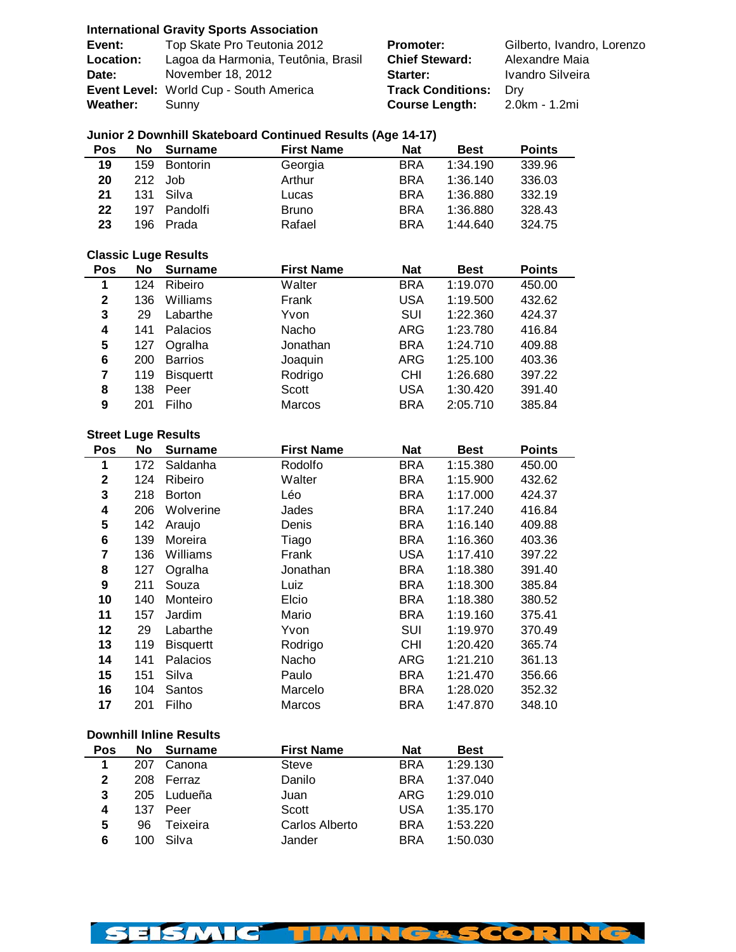| <b>International Gravity Sports Association</b> |  |  |  |
|-------------------------------------------------|--|--|--|
|-------------------------------------------------|--|--|--|

| Event:          | Top Skate Pro Teutonia 2012            | <b>Promoter:</b>             | Gilberto, Ivandro, Lorenzo |
|-----------------|----------------------------------------|------------------------------|----------------------------|
| Location:       | Lagoa da Harmonia, Teutônia, Brasil    | <b>Chief Steward:</b>        | Alexandre Maia             |
| Date:           | November 18, 2012                      | Starter:                     | Ivandro Silveira           |
|                 | Event Level: World Cup - South America | <b>Track Conditions: Dry</b> |                            |
| <b>Weather:</b> | Sunny                                  | <b>Course Length:</b>        | 2.0km - 1.2mi              |

# **Junior 2 Downhill Skateboard Continued Results (Age 14-17)**

| Pos | No  | <b>Surname</b>  | <b>First Name</b> | <b>Nat</b> | <b>Best</b> | <b>Points</b> |
|-----|-----|-----------------|-------------------|------------|-------------|---------------|
| 19  | 159 | <b>Bontorin</b> | Georgia           | <b>BRA</b> | 1:34.190    | 339.96        |
| 20  |     | 212 Job         | Arthur            | <b>BRA</b> | 1:36.140    | 336.03        |
| 21  | 131 | Silva           | Lucas             | <b>BRA</b> | 1:36.880    | 332.19        |
| 22  | 197 | Pandolfi        | <b>Bruno</b>      | <b>BRA</b> | 1:36.880    | 328.43        |
| 23  | 196 | Prada           | Rafael            | <b>BRA</b> | 1:44.640    | 324.75        |

## **Classic Luge Results**

| <b>Pos</b>   | No  | <b>Surname</b>   | <b>First Name</b> | <b>Nat</b> | <b>Best</b> | <b>Points</b> |
|--------------|-----|------------------|-------------------|------------|-------------|---------------|
| 1            | 124 | Ribeiro          | Walter            | <b>BRA</b> | 1:19.070    | 450.00        |
| $\mathbf{2}$ | 136 | Williams         | Frank             | USA        | 1:19.500    | 432.62        |
| 3            | 29  | Labarthe         | Yvon              | SUI        | 1:22.360    | 424.37        |
| 4            | 141 | Palacios         | Nacho             | ARG        | 1:23.780    | 416.84        |
| 5            | 127 | Ogralha          | Jonathan          | <b>BRA</b> | 1:24.710    | 409.88        |
| 6            | 200 | <b>Barrios</b>   | Joaquin           | ARG        | 1:25.100    | 403.36        |
| 7            | 119 | <b>Bisquertt</b> | Rodrigo           | CHI        | 1:26.680    | 397.22        |
| 8            | 138 | Peer             | Scott             | USA        | 1:30.420    | 391.40        |
| 9            | 201 | Filho            | Marcos            | <b>BRA</b> | 2:05.710    | 385.84        |

#### **Street Luge Results**

| Pos | No  | <b>Surname</b>   | <b>First Name</b> | <b>Nat</b> | <b>Best</b> | <b>Points</b> |
|-----|-----|------------------|-------------------|------------|-------------|---------------|
| 1   | 172 | Saldanha         | Rodolfo           | <b>BRA</b> | 1:15.380    | 450.00        |
| 2   | 124 | Ribeiro          | Walter            | <b>BRA</b> | 1:15.900    | 432.62        |
| 3   | 218 | <b>Borton</b>    | Léo               | <b>BRA</b> | 1:17.000    | 424.37        |
| 4   | 206 | Wolverine        | Jades             | <b>BRA</b> | 1:17.240    | 416.84        |
| 5   | 142 | Araujo           | Denis             | <b>BRA</b> | 1:16.140    | 409.88        |
| 6   | 139 | Moreira          | Tiago             | <b>BRA</b> | 1:16.360    | 403.36        |
| 7   | 136 | Williams         | Frank             | <b>USA</b> | 1:17.410    | 397.22        |
| 8   | 127 | Ogralha          | Jonathan          | <b>BRA</b> | 1:18.380    | 391.40        |
| 9   | 211 | Souza            | Luiz              | <b>BRA</b> | 1:18.300    | 385.84        |
| 10  | 140 | Monteiro         | Elcio             | <b>BRA</b> | 1:18.380    | 380.52        |
| 11  | 157 | Jardim           | Mario             | <b>BRA</b> | 1:19.160    | 375.41        |
| 12  | 29  | Labarthe         | Yvon              | <b>SUI</b> | 1:19.970    | 370.49        |
| 13  | 119 | <b>Bisquertt</b> | Rodrigo           | <b>CHI</b> | 1:20.420    | 365.74        |
| 14  | 141 | Palacios         | Nacho             | <b>ARG</b> | 1:21.210    | 361.13        |
| 15  | 151 | Silva            | Paulo             | <b>BRA</b> | 1:21.470    | 356.66        |
| 16  | 104 | Santos           | Marcelo           | <b>BRA</b> | 1:28.020    | 352.32        |
| 17  | 201 | Filho            | Marcos            | <b>BRA</b> | 1:47.870    | 348.10        |
|     |     |                  |                   |            |             |               |

#### **Downhill Inline Results**

| Pos | No  | <b>Surname</b> | <b>First Name</b> | <b>Nat</b> | <b>Best</b> |
|-----|-----|----------------|-------------------|------------|-------------|
| 1   | 207 | Canona         | Steve             | <b>BRA</b> | 1:29.130    |
| 2   | 208 | Ferraz         | Danilo            | <b>BRA</b> | 1:37.040    |
| 3   | 205 | Ludueña        | Juan              | ARG        | 1:29.010    |
| 4   | 137 | Peer           | Scott             | USA        | 1:35.170    |
| 5   | 96  | Teixeira       | Carlos Alberto    | <b>BRA</b> | 1:53.220    |
| 6   | 100 | Silva          | Jander            | <b>BRA</b> | 1:50.030    |

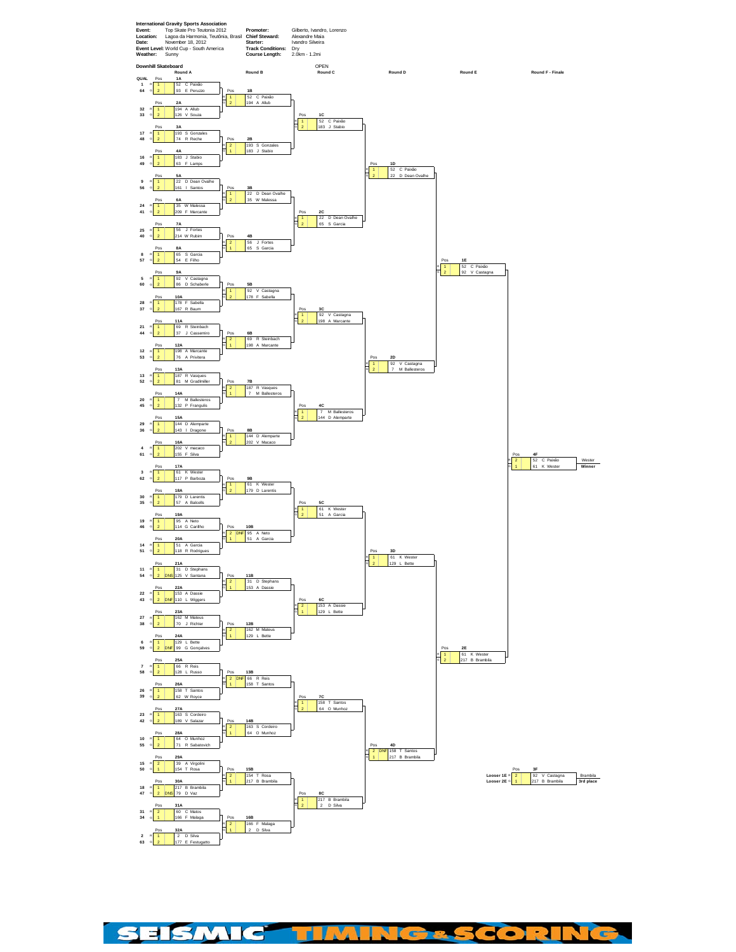

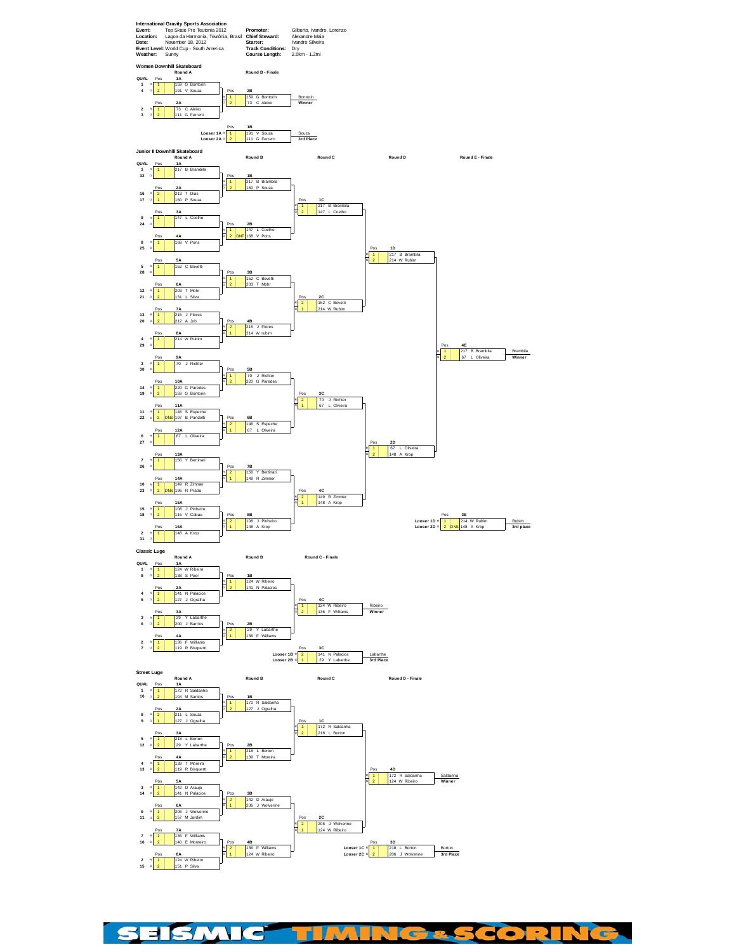

SEISMIC TIN **NG&SCORING** Y,